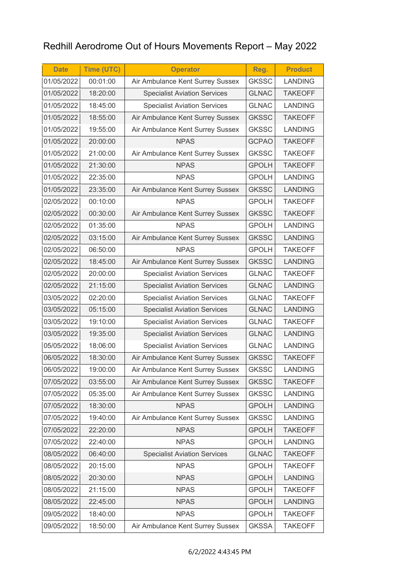## Redhill Aerodrome Out of Hours Movements Report – May 2022

| <b>Date</b> | <b>Time (UTC)</b> | <b>Operator</b>                     | Reg.         | <b>Product</b> |
|-------------|-------------------|-------------------------------------|--------------|----------------|
| 01/05/2022  | 00:01:00          | Air Ambulance Kent Surrey Sussex    | <b>GKSSC</b> | <b>LANDING</b> |
| 01/05/2022  | 18:20:00          | <b>Specialist Aviation Services</b> | <b>GLNAC</b> | <b>TAKEOFF</b> |
| 01/05/2022  | 18:45:00          | <b>Specialist Aviation Services</b> | <b>GLNAC</b> | <b>LANDING</b> |
| 01/05/2022  | 18:55:00          | Air Ambulance Kent Surrey Sussex    | <b>GKSSC</b> | <b>TAKEOFF</b> |
| 01/05/2022  | 19:55:00          | Air Ambulance Kent Surrey Sussex    | <b>GKSSC</b> | <b>LANDING</b> |
| 01/05/2022  | 20:00:00          | <b>NPAS</b>                         | <b>GCPAO</b> | <b>TAKEOFF</b> |
| 01/05/2022  | 21:00:00          | Air Ambulance Kent Surrey Sussex    | <b>GKSSC</b> | <b>TAKEOFF</b> |
| 01/05/2022  | 21:30:00          | <b>NPAS</b>                         | <b>GPOLH</b> | <b>TAKEOFF</b> |
| 01/05/2022  | 22:35:00          | <b>NPAS</b>                         | <b>GPOLH</b> | <b>LANDING</b> |
| 01/05/2022  | 23:35:00          | Air Ambulance Kent Surrey Sussex    | <b>GKSSC</b> | <b>LANDING</b> |
| 02/05/2022  | 00:10:00          | <b>NPAS</b>                         | <b>GPOLH</b> | <b>TAKEOFF</b> |
| 02/05/2022  | 00:30:00          | Air Ambulance Kent Surrey Sussex    | <b>GKSSC</b> | <b>TAKEOFF</b> |
| 02/05/2022  | 01:35:00          | <b>NPAS</b>                         | <b>GPOLH</b> | <b>LANDING</b> |
| 02/05/2022  | 03:15:00          | Air Ambulance Kent Surrey Sussex    | <b>GKSSC</b> | <b>LANDING</b> |
| 02/05/2022  | 06:50:00          | <b>NPAS</b>                         | <b>GPOLH</b> | <b>TAKEOFF</b> |
| 02/05/2022  | 18:45:00          | Air Ambulance Kent Surrey Sussex    | <b>GKSSC</b> | <b>LANDING</b> |
| 02/05/2022  | 20:00:00          | <b>Specialist Aviation Services</b> | <b>GLNAC</b> | <b>TAKEOFF</b> |
| 02/05/2022  | 21:15:00          | <b>Specialist Aviation Services</b> | <b>GLNAC</b> | <b>LANDING</b> |
| 03/05/2022  | 02:20:00          | <b>Specialist Aviation Services</b> | <b>GLNAC</b> | <b>TAKEOFF</b> |
| 03/05/2022  | 05:15:00          | <b>Specialist Aviation Services</b> | <b>GLNAC</b> | <b>LANDING</b> |
| 03/05/2022  | 19:10:00          | <b>Specialist Aviation Services</b> | <b>GLNAC</b> | <b>TAKEOFF</b> |
| 03/05/2022  | 19:35:00          | <b>Specialist Aviation Services</b> | <b>GLNAC</b> | <b>LANDING</b> |
| 05/05/2022  | 18:06:00          | <b>Specialist Aviation Services</b> | <b>GLNAC</b> | <b>LANDING</b> |
| 06/05/2022  | 18:30:00          | Air Ambulance Kent Surrey Sussex    | <b>GKSSC</b> | <b>TAKEOFF</b> |
| 06/05/2022  | 19:00:00          | Air Ambulance Kent Surrey Sussex    | <b>GKSSC</b> | <b>LANDING</b> |
| 07/05/2022  | 03:55:00          | Air Ambulance Kent Surrey Sussex    | <b>GKSSC</b> | <b>TAKEOFF</b> |
| 07/05/2022  | 05:35:00          | Air Ambulance Kent Surrey Sussex    | <b>GKSSC</b> | <b>LANDING</b> |
| 07/05/2022  | 18:30:00          | <b>NPAS</b>                         | <b>GPOLH</b> | <b>LANDING</b> |
| 07/05/2022  | 19:40:00          | Air Ambulance Kent Surrey Sussex    | <b>GKSSC</b> | <b>LANDING</b> |
| 07/05/2022  | 22:20:00          | <b>NPAS</b>                         | <b>GPOLH</b> | <b>TAKEOFF</b> |
| 07/05/2022  | 22:40:00          | <b>NPAS</b>                         | <b>GPOLH</b> | <b>LANDING</b> |
| 08/05/2022  | 06:40:00          | <b>Specialist Aviation Services</b> | <b>GLNAC</b> | <b>TAKEOFF</b> |
| 08/05/2022  | 20:15:00          | <b>NPAS</b>                         | <b>GPOLH</b> | <b>TAKEOFF</b> |
| 08/05/2022  | 20:30:00          | <b>NPAS</b>                         | <b>GPOLH</b> | <b>LANDING</b> |
| 08/05/2022  | 21:15:00          | <b>NPAS</b>                         | <b>GPOLH</b> | <b>TAKEOFF</b> |
| 08/05/2022  | 22:45:00          | <b>NPAS</b>                         | <b>GPOLH</b> | <b>LANDING</b> |
| 09/05/2022  | 18:40:00          | <b>NPAS</b>                         | <b>GPOLH</b> | <b>TAKEOFF</b> |
| 09/05/2022  | 18:50:00          | Air Ambulance Kent Surrey Sussex    | <b>GKSSA</b> | <b>TAKEOFF</b> |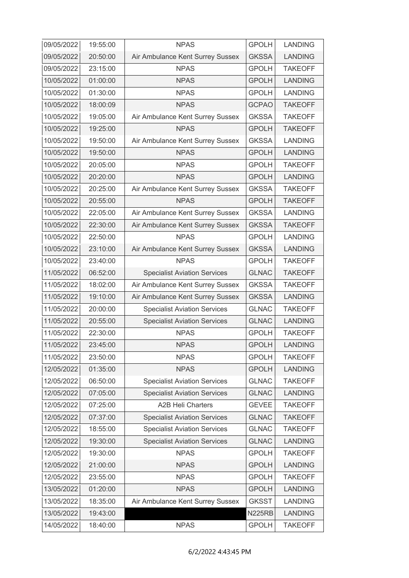| 09/05/2022 | 19:55:00 | <b>NPAS</b>                         | <b>GPOLH</b>  | <b>LANDING</b> |
|------------|----------|-------------------------------------|---------------|----------------|
| 09/05/2022 | 20:50:00 | Air Ambulance Kent Surrey Sussex    | <b>GKSSA</b>  | <b>LANDING</b> |
| 09/05/2022 | 23:15:00 | <b>NPAS</b>                         | <b>GPOLH</b>  | <b>TAKEOFF</b> |
| 10/05/2022 | 01:00:00 | <b>NPAS</b>                         | <b>GPOLH</b>  | <b>LANDING</b> |
| 10/05/2022 | 01:30:00 | <b>NPAS</b>                         | <b>GPOLH</b>  | <b>LANDING</b> |
| 10/05/2022 | 18:00:09 | <b>NPAS</b>                         | <b>GCPAO</b>  | <b>TAKEOFF</b> |
| 10/05/2022 | 19:05:00 | Air Ambulance Kent Surrey Sussex    | <b>GKSSA</b>  | <b>TAKEOFF</b> |
| 10/05/2022 | 19:25:00 | <b>NPAS</b>                         | <b>GPOLH</b>  | <b>TAKEOFF</b> |
| 10/05/2022 | 19:50:00 | Air Ambulance Kent Surrey Sussex    | <b>GKSSA</b>  | <b>LANDING</b> |
| 10/05/2022 | 19:50:00 | <b>NPAS</b>                         | <b>GPOLH</b>  | <b>LANDING</b> |
| 10/05/2022 | 20:05:00 | <b>NPAS</b>                         | <b>GPOLH</b>  | <b>TAKEOFF</b> |
| 10/05/2022 | 20:20:00 | <b>NPAS</b>                         | <b>GPOLH</b>  | <b>LANDING</b> |
| 10/05/2022 | 20:25:00 | Air Ambulance Kent Surrey Sussex    | <b>GKSSA</b>  | <b>TAKEOFF</b> |
| 10/05/2022 | 20:55:00 | <b>NPAS</b>                         | <b>GPOLH</b>  | <b>TAKEOFF</b> |
| 10/05/2022 | 22:05:00 | Air Ambulance Kent Surrey Sussex    | <b>GKSSA</b>  | <b>LANDING</b> |
| 10/05/2022 | 22:30:00 | Air Ambulance Kent Surrey Sussex    | <b>GKSSA</b>  | <b>TAKEOFF</b> |
| 10/05/2022 | 22:50:00 | <b>NPAS</b>                         | <b>GPOLH</b>  | <b>LANDING</b> |
| 10/05/2022 | 23:10:00 | Air Ambulance Kent Surrey Sussex    | <b>GKSSA</b>  | <b>LANDING</b> |
| 10/05/2022 | 23:40:00 | <b>NPAS</b>                         | <b>GPOLH</b>  | <b>TAKEOFF</b> |
| 11/05/2022 | 06:52:00 | <b>Specialist Aviation Services</b> | <b>GLNAC</b>  | <b>TAKEOFF</b> |
| 11/05/2022 | 18:02:00 | Air Ambulance Kent Surrey Sussex    | <b>GKSSA</b>  | <b>TAKEOFF</b> |
| 11/05/2022 | 19:10:00 | Air Ambulance Kent Surrey Sussex    | <b>GKSSA</b>  | <b>LANDING</b> |
| 11/05/2022 | 20:00:00 | <b>Specialist Aviation Services</b> | <b>GLNAC</b>  | <b>TAKEOFF</b> |
| 11/05/2022 | 20:55:00 | <b>Specialist Aviation Services</b> | <b>GLNAC</b>  | <b>LANDING</b> |
| 11/05/2022 | 22:30:00 | <b>NPAS</b>                         | <b>GPOLH</b>  | <b>TAKEOFF</b> |
| 11/05/2022 | 23:45:00 | <b>NPAS</b>                         | <b>GPOLH</b>  | <b>LANDING</b> |
| 11/05/2022 | 23:50:00 | <b>NPAS</b>                         | <b>GPOLH</b>  | <b>TAKEOFF</b> |
| 12/05/2022 | 01:35:00 | <b>NPAS</b>                         | <b>GPOLH</b>  | <b>LANDING</b> |
| 12/05/2022 | 06:50:00 | <b>Specialist Aviation Services</b> | <b>GLNAC</b>  | <b>TAKEOFF</b> |
| 12/05/2022 | 07:05:00 | <b>Specialist Aviation Services</b> | <b>GLNAC</b>  | <b>LANDING</b> |
| 12/05/2022 | 07:25:00 | <b>A2B Heli Charters</b>            | <b>GEVEE</b>  | <b>TAKEOFF</b> |
| 12/05/2022 | 07:37:00 | <b>Specialist Aviation Services</b> | <b>GLNAC</b>  | <b>TAKEOFF</b> |
| 12/05/2022 | 18:55:00 | <b>Specialist Aviation Services</b> | <b>GLNAC</b>  | <b>TAKEOFF</b> |
| 12/05/2022 | 19:30:00 | <b>Specialist Aviation Services</b> | <b>GLNAC</b>  | <b>LANDING</b> |
| 12/05/2022 | 19:30:00 | <b>NPAS</b>                         | <b>GPOLH</b>  | <b>TAKEOFF</b> |
| 12/05/2022 | 21:00:00 | <b>NPAS</b>                         | <b>GPOLH</b>  | <b>LANDING</b> |
| 12/05/2022 | 23:55:00 | <b>NPAS</b>                         | <b>GPOLH</b>  | <b>TAKEOFF</b> |
| 13/05/2022 | 01:20:00 | <b>NPAS</b>                         | <b>GPOLH</b>  | <b>LANDING</b> |
| 13/05/2022 | 18:35:00 | Air Ambulance Kent Surrey Sussex    | <b>GKSST</b>  | <b>LANDING</b> |
| 13/05/2022 | 19:43:00 |                                     | <b>N225RB</b> | <b>LANDING</b> |
| 14/05/2022 | 18:40:00 | <b>NPAS</b>                         | <b>GPOLH</b>  | <b>TAKEOFF</b> |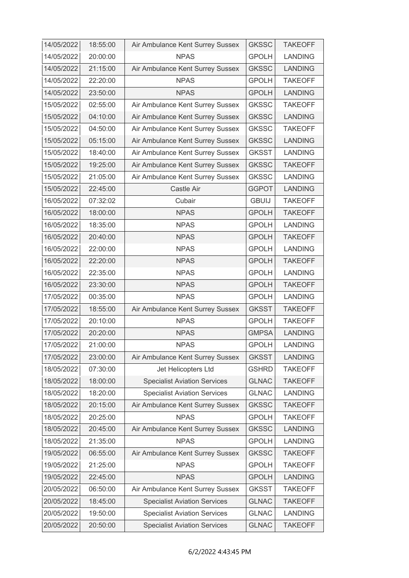| 14/05/2022 | 18:55:00 | Air Ambulance Kent Surrey Sussex    | <b>GKSSC</b> | <b>TAKEOFF</b> |
|------------|----------|-------------------------------------|--------------|----------------|
| 14/05/2022 | 20:00:00 | <b>NPAS</b>                         | <b>GPOLH</b> | <b>LANDING</b> |
| 14/05/2022 | 21:15:00 | Air Ambulance Kent Surrey Sussex    | <b>GKSSC</b> | <b>LANDING</b> |
| 14/05/2022 | 22:20:00 | <b>NPAS</b>                         | <b>GPOLH</b> | <b>TAKEOFF</b> |
| 14/05/2022 | 23:50:00 | <b>NPAS</b>                         | <b>GPOLH</b> | <b>LANDING</b> |
| 15/05/2022 | 02:55:00 | Air Ambulance Kent Surrey Sussex    | <b>GKSSC</b> | <b>TAKEOFF</b> |
| 15/05/2022 | 04:10:00 | Air Ambulance Kent Surrey Sussex    | <b>GKSSC</b> | <b>LANDING</b> |
| 15/05/2022 | 04:50:00 | Air Ambulance Kent Surrey Sussex    | <b>GKSSC</b> | <b>TAKEOFF</b> |
| 15/05/2022 | 05:15:00 | Air Ambulance Kent Surrey Sussex    | <b>GKSSC</b> | <b>LANDING</b> |
| 15/05/2022 | 18:40:00 | Air Ambulance Kent Surrey Sussex    | <b>GKSST</b> | <b>LANDING</b> |
| 15/05/2022 | 19:25:00 | Air Ambulance Kent Surrey Sussex    | <b>GKSSC</b> | <b>TAKEOFF</b> |
| 15/05/2022 | 21:05:00 | Air Ambulance Kent Surrey Sussex    | <b>GKSSC</b> | <b>LANDING</b> |
| 15/05/2022 | 22:45:00 | Castle Air                          | <b>GGPOT</b> | <b>LANDING</b> |
| 16/05/2022 | 07:32:02 | Cubair                              | <b>GBUIJ</b> | <b>TAKEOFF</b> |
| 16/05/2022 | 18:00:00 | <b>NPAS</b>                         | <b>GPOLH</b> | <b>TAKEOFF</b> |
| 16/05/2022 | 18:35:00 | <b>NPAS</b>                         | <b>GPOLH</b> | <b>LANDING</b> |
| 16/05/2022 | 20:40:00 | <b>NPAS</b>                         | <b>GPOLH</b> | <b>TAKEOFF</b> |
| 16/05/2022 | 22:00:00 | <b>NPAS</b>                         | <b>GPOLH</b> | <b>LANDING</b> |
| 16/05/2022 | 22:20:00 | <b>NPAS</b>                         | <b>GPOLH</b> | <b>TAKEOFF</b> |
| 16/05/2022 | 22:35:00 | <b>NPAS</b>                         | <b>GPOLH</b> | <b>LANDING</b> |
| 16/05/2022 | 23:30:00 | <b>NPAS</b>                         | <b>GPOLH</b> | <b>TAKEOFF</b> |
| 17/05/2022 | 00:35:00 | <b>NPAS</b>                         | <b>GPOLH</b> | <b>LANDING</b> |
| 17/05/2022 | 18:55:00 | Air Ambulance Kent Surrey Sussex    | <b>GKSST</b> | <b>TAKEOFF</b> |
| 17/05/2022 | 20:10:00 | <b>NPAS</b>                         | <b>GPOLH</b> | <b>TAKEOFF</b> |
| 17/05/2022 | 20:20:00 | <b>NPAS</b>                         | <b>GMPSA</b> | <b>LANDING</b> |
| 17/05/2022 | 21:00:00 | <b>NPAS</b>                         | <b>GPOLH</b> | <b>LANDING</b> |
| 17/05/2022 | 23:00:00 | Air Ambulance Kent Surrey Sussex    | <b>GKSST</b> | <b>LANDING</b> |
| 18/05/2022 | 07:30:00 | Jet Helicopters Ltd                 | <b>GSHRD</b> | <b>TAKEOFF</b> |
| 18/05/2022 | 18:00:00 | <b>Specialist Aviation Services</b> | <b>GLNAC</b> | <b>TAKEOFF</b> |
| 18/05/2022 | 18:20:00 | <b>Specialist Aviation Services</b> | <b>GLNAC</b> | <b>LANDING</b> |
| 18/05/2022 | 20:15:00 | Air Ambulance Kent Surrey Sussex    | <b>GKSSC</b> | <b>TAKEOFF</b> |
| 18/05/2022 | 20:25:00 | <b>NPAS</b>                         | <b>GPOLH</b> | <b>TAKEOFF</b> |
| 18/05/2022 | 20:45:00 | Air Ambulance Kent Surrey Sussex    | <b>GKSSC</b> | <b>LANDING</b> |
| 18/05/2022 | 21:35:00 | <b>NPAS</b>                         | <b>GPOLH</b> | <b>LANDING</b> |
| 19/05/2022 | 06:55:00 | Air Ambulance Kent Surrey Sussex    | <b>GKSSC</b> | <b>TAKEOFF</b> |
| 19/05/2022 | 21:25:00 | <b>NPAS</b>                         | <b>GPOLH</b> | <b>TAKEOFF</b> |
| 19/05/2022 | 22:45:00 | <b>NPAS</b>                         | <b>GPOLH</b> | <b>LANDING</b> |
| 20/05/2022 | 06:50:00 | Air Ambulance Kent Surrey Sussex    | <b>GKSST</b> | <b>TAKEOFF</b> |
| 20/05/2022 | 18:45:00 | <b>Specialist Aviation Services</b> | <b>GLNAC</b> | <b>TAKEOFF</b> |
| 20/05/2022 | 19:50:00 | <b>Specialist Aviation Services</b> | <b>GLNAC</b> | <b>LANDING</b> |
| 20/05/2022 | 20:50:00 | <b>Specialist Aviation Services</b> | <b>GLNAC</b> | <b>TAKEOFF</b> |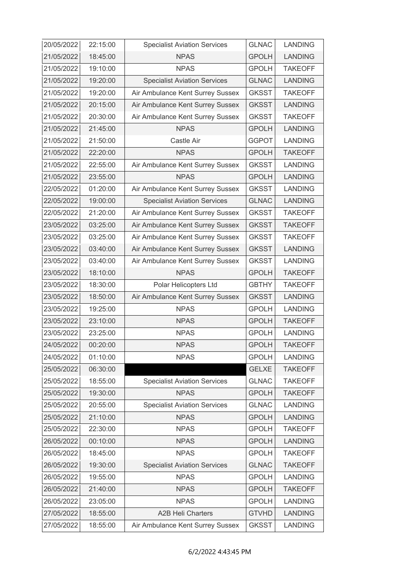| 20/05/2022 | 22:15:00 | <b>Specialist Aviation Services</b> | <b>GLNAC</b> | <b>LANDING</b> |
|------------|----------|-------------------------------------|--------------|----------------|
| 21/05/2022 | 18:45:00 | <b>NPAS</b>                         | <b>GPOLH</b> | <b>LANDING</b> |
| 21/05/2022 | 19:10:00 | <b>NPAS</b>                         | <b>GPOLH</b> | <b>TAKEOFF</b> |
| 21/05/2022 | 19:20:00 | <b>Specialist Aviation Services</b> | <b>GLNAC</b> | <b>LANDING</b> |
| 21/05/2022 | 19:20:00 | Air Ambulance Kent Surrey Sussex    | <b>GKSST</b> | <b>TAKEOFF</b> |
| 21/05/2022 | 20:15:00 | Air Ambulance Kent Surrey Sussex    | <b>GKSST</b> | <b>LANDING</b> |
| 21/05/2022 | 20:30:00 | Air Ambulance Kent Surrey Sussex    | <b>GKSST</b> | <b>TAKEOFF</b> |
| 21/05/2022 | 21:45:00 | <b>NPAS</b>                         | <b>GPOLH</b> | <b>LANDING</b> |
| 21/05/2022 | 21:50:00 | Castle Air                          | <b>GGPOT</b> | <b>LANDING</b> |
| 21/05/2022 | 22:20:00 | <b>NPAS</b>                         | <b>GPOLH</b> | <b>TAKEOFF</b> |
| 21/05/2022 | 22:55:00 | Air Ambulance Kent Surrey Sussex    | <b>GKSST</b> | <b>LANDING</b> |
| 21/05/2022 | 23:55:00 | <b>NPAS</b>                         | <b>GPOLH</b> | <b>LANDING</b> |
| 22/05/2022 | 01:20:00 | Air Ambulance Kent Surrey Sussex    | <b>GKSST</b> | <b>LANDING</b> |
| 22/05/2022 | 19:00:00 | <b>Specialist Aviation Services</b> | <b>GLNAC</b> | <b>LANDING</b> |
| 22/05/2022 | 21:20:00 | Air Ambulance Kent Surrey Sussex    | <b>GKSST</b> | <b>TAKEOFF</b> |
| 23/05/2022 | 03:25:00 | Air Ambulance Kent Surrey Sussex    | <b>GKSST</b> | <b>TAKEOFF</b> |
| 23/05/2022 | 03:25:00 | Air Ambulance Kent Surrey Sussex    | <b>GKSST</b> | <b>TAKEOFF</b> |
| 23/05/2022 | 03:40:00 | Air Ambulance Kent Surrey Sussex    | <b>GKSST</b> | <b>LANDING</b> |
| 23/05/2022 | 03:40:00 | Air Ambulance Kent Surrey Sussex    | <b>GKSST</b> | <b>LANDING</b> |
| 23/05/2022 | 18:10:00 | <b>NPAS</b>                         | <b>GPOLH</b> | <b>TAKEOFF</b> |
| 23/05/2022 | 18:30:00 | Polar Helicopters Ltd               | <b>GBTHY</b> | <b>TAKEOFF</b> |
| 23/05/2022 | 18:50:00 | Air Ambulance Kent Surrey Sussex    | <b>GKSST</b> | <b>LANDING</b> |
| 23/05/2022 | 19:25:00 | <b>NPAS</b>                         | <b>GPOLH</b> | <b>LANDING</b> |
| 23/05/2022 | 23:10:00 | <b>NPAS</b>                         | <b>GPOLH</b> | <b>TAKEOFF</b> |
| 23/05/2022 | 23:25:00 | <b>NPAS</b>                         | <b>GPOLH</b> | <b>LANDING</b> |
| 24/05/2022 | 00:20:00 | <b>NPAS</b>                         | <b>GPOLH</b> | <b>TAKEOFF</b> |
| 24/05/2022 | 01:10:00 | <b>NPAS</b>                         | <b>GPOLH</b> | <b>LANDING</b> |
| 25/05/2022 | 06:30:00 |                                     | <b>GELXE</b> | <b>TAKEOFF</b> |
| 25/05/2022 | 18:55:00 | <b>Specialist Aviation Services</b> | <b>GLNAC</b> | <b>TAKEOFF</b> |
| 25/05/2022 | 19:30:00 | <b>NPAS</b>                         | <b>GPOLH</b> | <b>TAKEOFF</b> |
| 25/05/2022 | 20:55:00 | <b>Specialist Aviation Services</b> | <b>GLNAC</b> | <b>LANDING</b> |
| 25/05/2022 | 21:10:00 | <b>NPAS</b>                         | <b>GPOLH</b> | <b>LANDING</b> |
| 25/05/2022 | 22:30:00 | <b>NPAS</b>                         | <b>GPOLH</b> | <b>TAKEOFF</b> |
| 26/05/2022 | 00:10:00 | <b>NPAS</b>                         | <b>GPOLH</b> | <b>LANDING</b> |
| 26/05/2022 | 18:45:00 | <b>NPAS</b>                         | <b>GPOLH</b> | <b>TAKEOFF</b> |
| 26/05/2022 | 19:30:00 | <b>Specialist Aviation Services</b> | <b>GLNAC</b> | <b>TAKEOFF</b> |
| 26/05/2022 | 19:55:00 | <b>NPAS</b>                         | <b>GPOLH</b> | <b>LANDING</b> |
| 26/05/2022 | 21:40:00 | <b>NPAS</b>                         | <b>GPOLH</b> | <b>TAKEOFF</b> |
| 26/05/2022 | 23:05:00 | <b>NPAS</b>                         | <b>GPOLH</b> | <b>LANDING</b> |
| 27/05/2022 | 18:55:00 | <b>A2B Heli Charters</b>            | <b>GTVHD</b> | <b>LANDING</b> |
| 27/05/2022 | 18:55:00 | Air Ambulance Kent Surrey Sussex    | <b>GKSST</b> | <b>LANDING</b> |